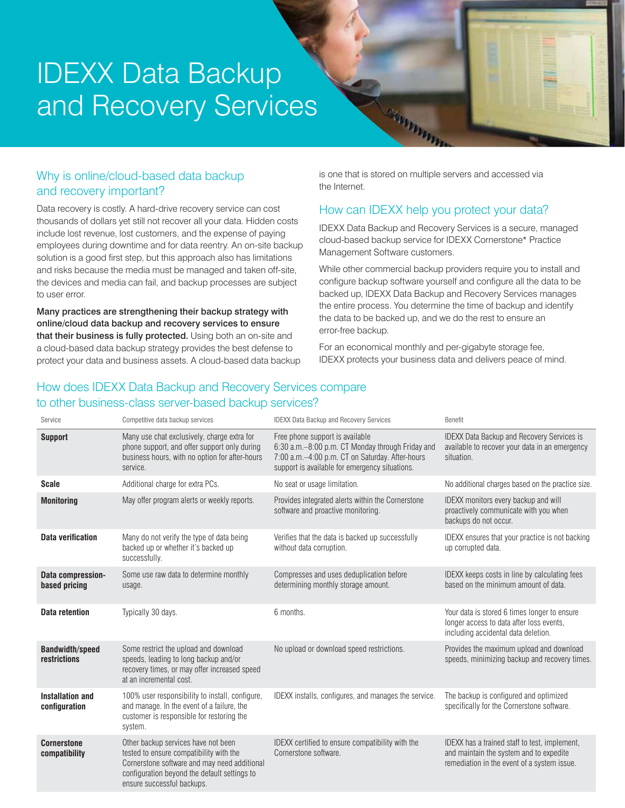# IDEXX Data Backup and Recovery Services

# Why is online/cloud-based data backup and recovery important?

Data recovery is costly. A hard-drive recovery service can cost thousands of dollars yet still not recover all your data. Hidden costs include lost revenue, lost customers, and the expense of paying employees during downtime and for data reentry. An on-site backup solution is a good first step, but this approach also has limitations and risks because the media must be managed and taken off-site, the devices and media can fail, and backup processes are subject to user error.

Many practices are strengthening their backup strategy with online/cloud data backup and recovery services to ensure that their business is fully protected. Using both an on-site and a cloud-based data backup strategy provides the best defense to protect your data and business assets. A cloud-based data backup is one that is stored on multiple servers and accessed via the Internet.

Cristines

# How can IDEXX help you protect your data?

IDEXX Data Backup and Recovery Services is a secure, managed cloud-based backup service for IDEXX Cornerstone\* Practice Management Software customers.

While other commercial backup providers require you to install and configure backup software yourself and configure all the data to be backed up, IDEXX Data Backup and Recovery Services manages the entire process. You determine the time of backup and identify the data to be backed up, and we do the rest to ensure an error-free backup.

For an economical monthly and per-gigabyte storage fee, IDEXX protects your business data and delivers peace of mind.

## How does IDEXX Data Backup and Recovery Services compare to other business-class server-based backup services?

| Service                                  | Competitive data backup services                                                                                                                                                                             | <b>IDEXX Data Backup and Recovery Services</b>                                                                                                                                           | <b>Benefit</b>                                                                                                                          |
|------------------------------------------|--------------------------------------------------------------------------------------------------------------------------------------------------------------------------------------------------------------|------------------------------------------------------------------------------------------------------------------------------------------------------------------------------------------|-----------------------------------------------------------------------------------------------------------------------------------------|
| <b>Support</b>                           | Many use chat exclusively, charge extra for<br>phone support, and offer support only during<br>business hours, with no option for after-hours<br>service.                                                    | Free phone support is available<br>6:30 a.m.-8:00 p.m. CT Monday through Friday and<br>7:00 a.m.-4:00 p.m. CT on Saturday. After-hours<br>support is available for emergency situations. | <b>IDEXX Data Backup and Recovery Services is</b><br>available to recover your data in an emergency<br>situation.                       |
| <b>Scale</b>                             | Additional charge for extra PCs.                                                                                                                                                                             | No seat or usage limitation.                                                                                                                                                             | No additional charges based on the practice size.                                                                                       |
| <b>Monitoring</b>                        | May offer program alerts or weekly reports.                                                                                                                                                                  | Provides integrated alerts within the Cornerstone<br>software and proactive monitoring.                                                                                                  | IDEXX monitors every backup and will<br>proactively communicate with you when<br>backups do not occur.                                  |
| <b>Data verification</b>                 | Many do not verify the type of data being<br>backed up or whether it's backed up<br>successfully.                                                                                                            | Verifies that the data is backed up successfully<br>without data corruption.                                                                                                             | IDEXX ensures that your practice is not backing<br>up corrupted data.                                                                   |
| Data compression-<br>based pricing       | Some use raw data to determine monthly<br>usage.                                                                                                                                                             | Compresses and uses deduplication before<br>determining monthly storage amount.                                                                                                          | IDEXX keeps costs in line by calculating fees<br>based on the minimum amount of data.                                                   |
| <b>Data retention</b>                    | Typically 30 days.                                                                                                                                                                                           | 6 months.                                                                                                                                                                                | Your data is stored 6 times longer to ensure<br>longer access to data after loss events.<br>including accidental data deletion.         |
| <b>Bandwidth/speed</b><br>restrictions   | Some restrict the upload and download<br>speeds, leading to long backup and/or<br>recovery times, or may offer increased speed<br>at an incremental cost.                                                    | No upload or download speed restrictions.                                                                                                                                                | Provides the maximum upload and download<br>speeds, minimizing backup and recovery times.                                               |
| <b>Installation and</b><br>configuration | 100% user responsibility to install, configure,<br>and manage. In the event of a failure, the<br>customer is responsible for restoring the<br>system.                                                        | IDEXX installs, configures, and manages the service.                                                                                                                                     | The backup is configured and optimized<br>specifically for the Cornerstone software.                                                    |
| <b>Cornerstone</b><br>compatibility      | Other backup services have not been<br>tested to ensure compatibility with the<br>Cornerstone software and may need additional<br>configuration beyond the default settings to<br>ensure successful backups. | IDEXX certified to ensure compatibility with the<br>Cornerstone software.                                                                                                                | IDEXX has a trained staff to test, implement,<br>and maintain the system and to expedite<br>remediation in the event of a system issue. |